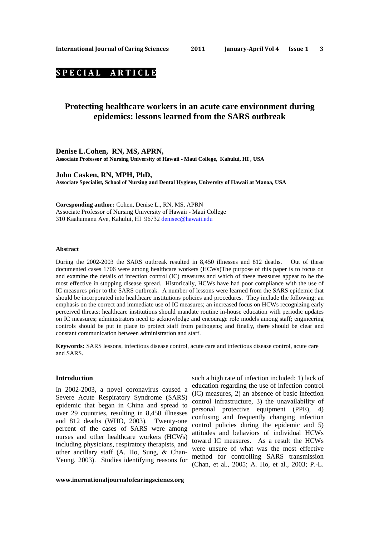# **S P E C I A L A R T I C L E**

# **Protecting healthcare workers in an acute care environment during epidemics: lessons learned from the SARS outbreak**

**Denise L.Cohen, RN, MS, APRN, Associate Professor of Nursing University of Hawaii - Maui College, Kahului, HI , USA** 

**John Casken, RN, MPH, PhD, Associate Specialist, School of Nursing and Dental Hygiene, University of Hawaii at Manoa, USA** 

**Coresponding author:** Cohen, Denise L., RN, MS, APRN Associate Professor of Nursing University of Hawaii - Maui College 310 Kaahumanu Ave, Kahului, HI 96732 denisec@hawaii.edu

### **Abstract**

During the 2002-2003 the SARS outbreak resulted in 8,450 illnesses and 812 deaths. Out of these documented cases 1706 were among healthcare workers (HCWs)The purpose of this paper is to focus on and examine the details of infection control (IC) measures and which of these measures appear to be the most effective in stopping disease spread. Historically, HCWs have had poor compliance with the use of IC measures prior to the SARS outbreak. A number of lessons were learned from the SARS epidemic that should be incorporated into healthcare institutions policies and procedures. They include the following: an emphasis on the correct and immediate use of IC measures; an increased focus on HCWs recognizing early perceived threats; healthcare institutions should mandate routine in-house education with periodic updates on IC measures; administrators need to acknowledge and encourage role models among staff; engineering controls should be put in place to protect staff from pathogens; and finally, there should be clear and constant communication between administration and staff.

**Keywords:** SARS lessons, infectious disease control, acute care and infectious disease control, acute care and SARS.

#### **Introduction**

In 2002-2003, a novel coronavirus caused a Severe Acute Respiratory Syndrome (SARS) epidemic that began in China and spread to over 29 countries, resulting in 8,450 illnesses and 812 deaths (WHO, 2003). Twenty-one percent of the cases of SARS were among nurses and other healthcare workers (HCWs) including physicians, respiratory therapists, and other ancillary staff (A. Ho, Sung, & Chan-Yeung, 2003). Studies identifying reasons for

**www.inernationaljournalofcaringscienes.org**

such a high rate of infection included: 1) lack of education regarding the use of infection control (IC) measures, 2) an absence of basic infection control infrastructure, 3) the unavailability of personal protective equipment (PPE), 4) confusing and frequently changing infection control policies during the epidemic and 5) attitudes and behaviors of individual HCWs toward IC measures. As a result the HCWs were unsure of what was the most effective method for controlling SARS transmission (Chan, et al., 2005; A. Ho, et al., 2003; P.-L.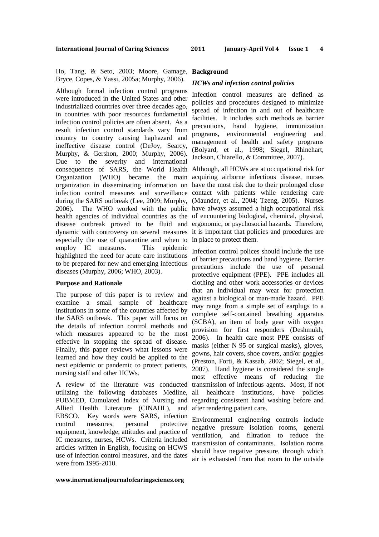Ho, Tang, & Seto, 2003; Moore, Gamage, Bryce, Copes, & Yassi, 2005a; Murphy, 2006).

Although formal infection control programs were introduced in the United States and other industrialized countries over three decades ago, in countries with poor resources fundamental infection control policies are often absent. As a result infection control standards vary from country to country causing haphazard and ineffective disease control (DeJoy, Searcy, Murphy, & Gershon, 2000; Murphy, 2006). Due to the severity and international consequences of SARS, the World Health Although, all HCWs are at occupational risk for Organization (WHO) became the main acquiring airborne infectious disease, nurses organization in disseminating information on have the most risk due to their prolonged close infection control measures and surveillance contact with patients while rendering care during the SARS outbreak (Lee, 2009; Murphy, (Maunder, et al., 2004; Tzeng, 2005). Nurses 2006). The WHO worked with the public have always assumed a high occupational risk health agencies of individual countries as the of encountering biological, chemical, physical, disease outbreak proved to be fluid and ergonomic, or psychosocial hazards. Therefore, dynamic with controversy on several measures it is important that policies and procedures are especially the use of quarantine and when to in place to protect them. employ IC measures. This epidemic highlighted the need for acute care institutions to be prepared for new and emerging infectious diseases (Murphy, 2006; WHO, 2003).

### **Purpose and Rationale**

The purpose of this paper is to review and examine a small sample of healthcare institutions in some of the countries affected by the SARS outbreak. This paper will focus on the details of infection control methods and which measures appeared to be the most effective in stopping the spread of disease. Finally, this paper reviews what lessons were learned and how they could be applied to the next epidemic or pandemic to protect patients, nursing staff and other HCWs.

A review of the literature was conducted utilizing the following databases Medline, PUBMED, Cumulated Index of Nursing and Allied Health Literature (CINAHL), and EBSCO. Key words were SARS, infection control measures, personal protective equipment, knowledge, attitudes and practice of IC measures, nurses, HCWs. Criteria included articles written in English, focusing on HCWS use of infection control measures, and the dates were from 1995-2010.

#### **Background**

### *HCWs and infection control policies*

Infection control measures are defined as policies and procedures designed to minimize spread of infection in and out of healthcare facilities. It includes such methods as barrier precautions, hand hygiene, immunization programs, environmental engineering and management of health and safety programs (Bolyard, et al., 1998; Siegel, Rhinehart, Jackson, Chiarello, & Committee, 2007).

Infection control polices should include the use of barrier precautions and hand hygiene. Barrier precautions include the use of personal protective equipment (PPE). PPE includes all clothing and other work accessories or devices that an individual may wear for protection against a biological or man-made hazard. PPE may range from a simple set of earplugs to a complete self-contained breathing apparatus (SCBA), an item of body gear with oxygen provision for first responders (Deshmukh, 2006). In health care most PPE consists of masks (either N 95 or surgical masks), gloves, gowns, hair covers, shoe covers, and/or goggles (Preston, Forti, & Kassab, 2002; Siegel, et al., 2007). Hand hygiene is considered the single most effective means of reducing the transmission of infectious agents. Most, if not all healthcare institutions, have policies regarding consistent hand washing before and after rendering patient care.

Environmental engineering controls include negative pressure isolation rooms, general ventilation, and filtration to reduce the transmission of contaminants. Isolation rooms should have negative pressure, through which air is exhausted from that room to the outside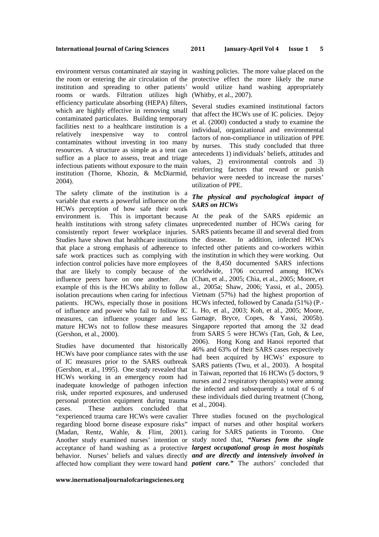the room or entering the air circulation of the protective effect the more likely the nurse institution and spreading to other patients' rooms or wards. Filtration utilizes high (Whitby, et al., 2007). efficiency particulate absorbing (HEPA) filters, which are highly effective in removing small contaminated particulates. Building temporary facilities next to a healthcare institution is a relatively inexpensive way to control contaminates without investing in too many resources. A structure as simple as a tent can suffice as a place to assess, treat and triage infectious patients without exposure to the main institution (Thorne, Khozin, & McDiarmid, 2004).

The safety climate of the institution is a variable that exerts a powerful influence on the HCWs perception of how safe their work environment is. This is important because At the peak of the SARS epidemic an health institutions with strong safety climates unprecedented number of HCWs caring for consistently report fewer workplace injuries. SARS patients became ill and several died from Studies have shown that healthcare institutions the disease. that place a strong emphasis of adherence to infected other patients and co-workers within safe work practices such as complying with the institution in which they were working. Out infection control policies have more employees of the 8,450 documented SARS infections that are likely to comply because of the worldwide, 1706 occurred among HCWs influence peers have on one another. example of this is the HCWs ability to follow al., 2005a; Shaw, 2006; Yassi, et al., 2005). isolation precautions when caring for infectious Vietnam (57%) had the highest proportion of patients. HCWs, especially those in positions HCWs infected, followed by Canada (51%) (P. of influence and power who fail to follow IC L. Ho, et al., 2003; Koh, et al., 2005; Moore, measures, can influence younger and less Gamage, Bryce, Copes, & Yassi, 2005b). mature HCWs not to follow these measures Singapore reported that among the 32 dead (Gershon, et al., 2000).

Studies have documented that historically HCWs have poor compliance rates with the use of IC measures prior to the SARS outbreak (Gershon, et al., 1995). One study revealed that HCWs working in an emergency room had inadequate knowledge of pathogen infection risk, under reported exposures, and underused personal protection equipment during trauma cases. These authors concluded that "experienced trauma care HCWs were cavalier Three studies focused on the psychological regarding blood borne disease exposure risks" impact of nurses and other hospital workers (Madan, Rentz, Wahle, & Flint, 2001). caring for SARS patients in Toronto. One Another study examined nurses' intention or study noted that, *"Nurses form the single*  acceptance of hand washing as a protective *largest occupational group in most hospitals*  behavior. Nurses' beliefs and values directly *and are directly and intensively involved in*  affected how compliant they were toward hand *patient care."* The authors' concluded that

environment versus contaminated air staying in washing policies. The more value placed on the would utilize hand washing appropriately

> Several studies examined institutional factors that affect the HCWs use of IC policies. Dejoy et al. (2000) conducted a study to examine the individual, organizational and environmental factors of non-compliance in utilization of PPE by nurses. This study concluded that three antecedents 1) individuals' beliefs, attitudes and values, 2) environmental controls and 3) reinforcing factors that reward or punish behavior were needed to increase the nurses' utilization of PPE.

# *The physical and psychological impact of SARS on HCWs*

In addition, infected HCWs (Chan, et al., 2005; Chia, et al., 2005; Moore, et from SARS 5 were HCWs (Tan, Goh, & Lee, 2006). Hong Kong and Hanoi reported that 46% and 63% of their SARS cases respectively had been acquired by HCWs' exposure to SARS patients (Twu, et al., 2003). A hospital in Taiwan, reported that 16 HCWs (5 doctors, 9 nurses and 2 respiratory therapists) were among the infected and subsequently a total of 6 of these individuals died during treatment (Chong, et al., 2004).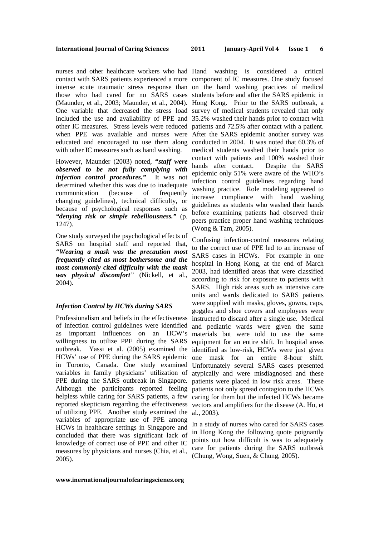nurses and other healthcare workers who had Hand washing is considered a critical contact with SARS patients experienced a more component of IC measures. One study focused with other IC measures such as hand washing.

However, Maunder (2003) noted, **"***staff were observed to be not fully complying with infection control procedures."* It was not determined whether this was due to inadequate communication (because of frequently changing guidelines), technical difficulty, or because of psychological responses such as *"denying risk or simple rebelliousness."* (p. 1247).

One study surveyed the psychological effects of SARS on hospital staff and reported that, *"Wearing a mask was the precaution most frequently cited as most bothersome and the most commonly cited difficulty with the mask was physical discomfort"* (Nickell, et al., 2004).

### *Infection Control by HCWs during SARS*

Professionalism and beliefs in the effectiveness of infection control guidelines were identified as important influences on an HCW's willingness to utilize PPE during the SARS outbreak. Yassi et al. (2005) examined the identified as low-risk, HCWs were just given HCWs' use of PPE during the SARS epidemic in Toronto, Canada. One study examined variables in family physicians' utilization of PPE during the SARS outbreak in Singapore. patients were placed in low risk areas. These Although the participants reported feeling patients not only spread contagion to the HCWs helpless while caring for SARS patients, a few reported skepticism regarding the effectiveness of utilizing PPE. Another study examined the variables of appropriate use of PPE among HCWs in healthcare settings in Singapore and concluded that there was significant lack of knowledge of correct use of PPE and other IC measures by physicians and nurses (Chia, et al., 2005).

intense acute traumatic stress response than on the hand washing practices of medical those who had cared for no SARS cases students before and after the SARS epidemic in (Maunder, et al., 2003; Maunder, et al., 2004). Hong Kong. Prior to the SARS outbreak, a One variable that decreased the stress load survey of medical students revealed that only included the use and availability of PPE and 35.2% washed their hands prior to contact with other IC measures. Stress levels were reduced patients and 72.5% after contact with a patient. when PPE was available and nurses were After the SARS epidemic another survey was educated and encouraged to use them along conducted in 2004. It was noted that 60.3% of medical students washed their hands prior to contact with patients and 100% washed their hands after contact. Despite the SARS epidemic only 51% were aware of the WHO's infection control guidelines regarding hand washing practice. Role modeling appeared to increase compliance with hand washing guidelines as students who washed their hands before examining patients had observed their peers practice proper hand washing techniques (Wong & Tam, 2005).

> Confusing infection-control measures relating to the correct use of PPE led to an increase of SARS cases in HCWs. For example in one hospital in Hong Kong, at the end of March 2003, had identified areas that were classified according to risk for exposure to patients with SARS. High risk areas such as intensive care units and wards dedicated to SARS patients were supplied with masks, gloves, gowns, caps, goggles and shoe covers and employees were instructed to discard after a single use. Medical and pediatric wards were given the same materials but were told to use the same equipment for an entire shift. In hospital areas one mask for an entire 8-hour shift. Unfortunately several SARS cases presented atypically and were misdiagnosed and these caring for them but the infected HCWs became vectors and amplifiers for the disease (A. Ho, et al., 2003).

> In a study of nurses who cared for SARS cases in Hong Kong the following quote poignantly points out how difficult is was to adequately care for patients during the SARS outbreak (Chung, Wong, Suen, & Chung, 2005).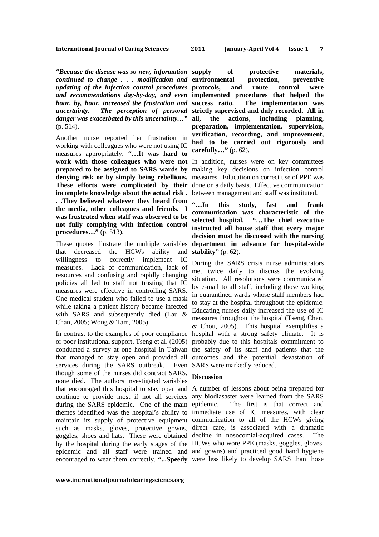*"Because the disease was so new, information continued to change . . . modification and*  **environmental protection, preventive**  *updating of the infection control procedures*  **protocols, and route control were**  *and recommendations day-by-day, and even*  **implemented procedures that helped the**  *hour, by, hour, increased the frustration and uncertainty. The perception of personal*  **strictly supervised and duly recorded. All in**  *danger was exacerbated by this uncertainty…"* (p. 514).

Another nurse reported her frustration in working with colleagues who were not using IC measures appropriately. **"…It was hard to work with those colleagues who were not**  In addition, nurses were on key committees **prepared to be assigned to SARS wards by**  making key decisions on infection control **denying risk or by simply being rebellious.**  measures. Education on correct use of PPE was **These efforts were complicated by their**  done on a daily basis. Effective communication **incomplete knowledge about the actual risk .**  between management and staff was instituted. **. .They believed whatever they heard from the media, other colleagues and friends. I was frustrated when staff was observed to be not fully complying with infection control procedures…"** (p. 513).

These quotes illustrate the multiple variables that decreased the HCWs ability and willingness to correctly implement IC measures. Lack of communication, lack of resources and confusing and rapidly changing policies all led to staff not trusting that IC measures were effective in controlling SARS. One medical student who failed to use a mask while taking a patient history became infected with SARS and subsequently died (Lau & Chan, 2005; Wong & Tam, 2005).

or poor institutional support, Tseng et al. (2005) probably due to this hospitals commitment to conducted a survey at one hospital in Taiwan the safety of its staff and patients that the that managed to stay open and provided all outcomes and the potential devastation of services during the SARS outbreak. Even SARS were markedly reduced. though some of the nurses did contract SARS, none died. The authors investigated variables that encouraged this hospital to stay open and A number of lessons about being prepared for continue to provide most if not all services any biodiasaster were learned from the SARS during the SARS epidemic. One of the main epidemic. themes identified was the hospital's ability to immediate use of IC measures, with clear maintain its supply of protective equipment communication to all of the HCWs giving such as masks, gloves, protective gowns, direct care, is associated with a dramatic goggles, shoes and hats. These were obtained decline in nosocomial-acquired cases. The by the hospital during the early stages of the HCWs who wore PPE (masks, goggles, gloves, epidemic and all staff were trained and and gowns) and practiced good hand hygiene encouraged to wear them correctly. **"...Speedy**  were less likely to develop SARS than those

of protective materials, The implementation was the actions, including planning, **preparation, implementation, supervision, verification, recording, and improvement, had to be carried out rigorously and carefully…"** (p. 62).

**"…In this study, fast and frank communication was characteristic of the selected hospital. "…The chief executive instructed all house staff that every major decision must be discussed with the nursing department in advance for hospital-wide stability"** (p. 62).

In contrast to the examples of poor compliance hospital with a strong safety climate. It is During the SARS crisis nurse administrators met twice daily to discuss the evolving situation. All resolutions were communicated by e-mail to all staff, including those working in quarantined wards whose staff members had to stay at the hospital throughout the epidemic. Educating nurses daily increased the use of IC measures throughout the hospital (Tseng, Chen, & Chou, 2005). This hospital exemplifies a

## **Discussion**

The first is that correct and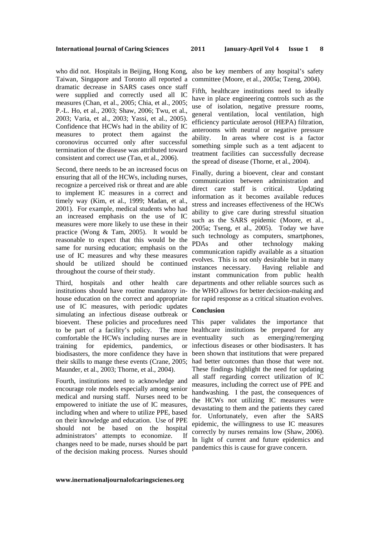Taiwan, Singapore and Toronto all reported a dramatic decrease in SARS cases once staff were supplied and correctly used all IC measures (Chan, et al., 2005; Chia, et al., 2005; P.-L. Ho, et al., 2003; Shaw, 2006; Twu, et al., 2003; Varia, et al., 2003; Yassi, et al., 2005). Confidence that HCWs had in the ability of IC measures to protect them against the coronovirus occurred only after successful termination of the disease was attributed toward consistent and correct use (Tan, et al., 2006).

Second, there needs to be an increased focus on ensuring that all of the HCWs, including nurses, recognize a perceived risk or threat and are able to implement IC measures in a correct and timely way (Kim, et al., 1999; Madan, et al., 2001). For example, medical students who had an increased emphasis on the use of IC measures were more likely to use these in their practice (Wong & Tam, 2005). It would be reasonable to expect that this would be the same for nursing education; emphasis on the use of IC measures and why these measures should be utilized should be continued throughout the course of their study.

institutions should have routine mandatory inhouse education on the correct and appropriate for rapid response as a critical situation evolves. use of IC measures, with periodic updates simulating an infectious disease outbreak or bioevent. These policies and procedures need This paper validates the importance that to be part of a facility's policy. The more healthcare institutions be prepared for any comfortable the HCWs including nurses are in training for epidemics, pandemics, biodisasters, the more confidence they have in been shown that institutions that were prepared their skills to mange these events (Crane, 2005; Maunder, et al., 2003; Thorne, et al., 2004).

Fourth, institutions need to acknowledge and encourage role models especially among senior medical and nursing staff. Nurses need to be empowered to initiate the use of IC measures, including when and where to utilize PPE, based on their knowledge and education. Use of PPE should not be based on the hospital administrators' attempts to economize. If changes need to be made, nurses should be part of the decision making process. Nurses should

who did not. Hospitals in Beijing, Hong Kong, also be key members of any hospital's safety committee (Moore, et al., 2005a; Tzeng, 2004).

> Fifth, healthcare institutions need to ideally have in place engineering controls such as the use of isolation, negative pressure rooms, general ventilation, local ventilation, high efficiency particulate aerosol (HEPA) filtration, anterooms with neutral or negative pressure ability. In areas where cost is a factor something simple such as a tent adjacent to treatment facilities can successfully decrease the spread of disease (Thorne, et al., 2004).

Third, hospitals and other health care departments and other reliable sources such as Finally, during a bioevent, clear and constant communication between administration and direct care staff is critical. Updating information as it becomes available reduces stress and increases effectiveness of the HCWs ability to give care during stressful situation such as the SARS epidemic (Moore, et al., 2005a; Tseng, et al., 2005). Today we have such technology as computers, smartphones, PDAs and other technology making communication rapidly available as a situation evolves. This is not only desirable but in many instances necessary. Having reliable and instant communication from public health the WHO allows for better decision-making and

### **Conclusion**

such as emerging/remerging infectious diseases or other biodisasters. It has had better outcomes than those that were not. These findings highlight the need for updating all staff regarding correct utilization of IC measures, including the correct use of PPE and handwashing. I the past, the consequences of the HCWs not utilizing IC measures were devastating to them and the patients they cared for. Unfortunately, even after the SARS epidemic, the willingness to use IC measures correctly by nurses remains low (Shaw, 2006). In light of current and future epidemics and pandemics this is cause for grave concern.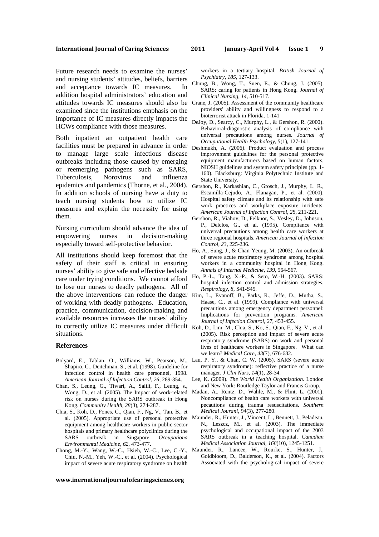Future research needs to examine the nurses' and nursing students' attitudes, beliefs, barriers and acceptance towards IC measures. In addition hospital administrators' education and attitudes towards IC measures should also be Crane, J. (2005). Assessment of the community healthcare examined since the institutions emphasis on the importance of IC measures directly impacts the HCWs compliance with those measures.

Both inpatient an outpatient health care facilities must be prepared in advance in order Deshmukh, A. (2006). Product evaluation and process to manage large scale infectious disease outbreaks including those caused by emerging or reemerging pathogens such as SARS, Tuberculosis, Norovirus and influenza epidemics and pandemics (Thorne, et al., 2004). Gershon, R., Karkashian, C., Grosch, J., Murphy, L. R., In addition schools of nursing have a duty to teach nursing students how to utilize IC measures and explain the necessity for using them.

Nursing curriculum should advance the idea of empowering nurses in decision-making especially toward self-protective behavior.

All institutions should keep foremost that the safety of their staff is critical in ensuring nurses' ability to give safe and effective bedside care under trying conditions. We cannot afford to lose our nurses to deadly pathogens. All of the above interventions can reduce the danger Kim, L., Evanoff, B., Parks, R., Jeffe, D., Mutha, S., of working with deadly pathogens. Education, practice, communication, decision-making and available resources increases the nurses' ability to correctly utilize IC measures under difficult Koh, D., Lim, M., Chia, S., Ko, S., Qian, F., Ng, V., et al. situations.

### **References**

- Bolyard, E., Tablan, O., Williams, W., Pearson, M., Shapiro, C., Deitchman, S., et al. (1998). Guideline for infection control in health care personnel, 1998. *American Journal of Infection Control, 26*, 289-354.
- Chan, S., Leung, G., Tiwari, A., Salili, F., Leung, s., Wong, D., et al. (2005). The Impact of work-related risk on nurses during the SARS outbreak in Hong Kong. *Community Health, 28*(3), 274-287.
- Chia, S., Koh, D., Fones, C., Qian, F., Ng, V., Tan, B., et al. (2005). Appropriate use of personal protective equipment among healthcare workers in public sector hospitals and primary healthcare polyclinics during the SARS outbreak in Singapore. *Occupationa Environmental Medicine, 62*, 473-477.
- Chong, M.-Y., Wang, W.-C., Hsieh, W.-C., Lee, C.-Y., Chiu, N.-M., Yeh, W.-C., et al. (2004). Psychological impact of severe acute respiratory syndrome on health

workers in a tertiary hospital. *British Journal of Psychiatry, 185*, 127-133.

- Chung, B., Wong, T., Suen, E., & Chung, J. (2005). SARS: caring for patients in Hong Kong. *Journal of Clinical Nursing, 14*, 510-517.
- providers' ability and willingness to respond to a bioterrorist attack in Florida. 1-141
- DeJoy, D., Searcy, C., Murphy, L., & Gershon, R. (2000). Behavioral-diagnostic analysis of compliance with universal precautions among nurses. *Journal of Occupational Health Psychology, 5*(1), 127-141.
- improvement guidelines for the personal protective equipment manufacturers based on human factors, NIOSH guidelines and system safety principles (pp. 1- 160). Blacksburg: Virginia Polytechnic Institute and State University.
- Escamilla-Cejudo, A., Flanagan, P., et al. (2000). Hospital safety climate and its relationship with safe work practices and workplace exposure incidents. *American Journal of Infection Control, 28*, 211-221.
- Gershon, R., Viahov, D., Felknor, S., Vesley, D., Johnson, P., Delclos, G., et al. (1995). Compliance with universal precautions among health care workers at three regional hospitals. *American Journal of Infection Control, 23*, 225-236.
- Ho, A., Sung, J., & Chan-Yeung, M. (2003). An outbreak of severe acute respiratory syndrome among hospital workers in a community hospital in Hong Kong. *Annals of Internal Medicine, 139*, 564-567.
- Ho, P.-L., Tang, X.-P., & Seto, W.-H. (2003). SARS: hospital infection control and admission strategies. *Respirology, 8*, S41-S45.
- Haase, C., et al. (1999). Compliance with universal precautions among emergency department personnel: Implications for prevention programs. *American Journal of Infection Control, 27*, 453-455.
- (2005). Risk perception and impact of severe acute respiratory syndrome (SARS) on work and personal lives of healthcare workers in Singapore. What can we learn? *Medical Care, 43*(7), 676-682.
- Lau, P. Y., & Chan, C. W. (2005). SARS (severe acute respiratory syndrome): reflective practice of a nurse manager. *J Clin Nurs, 14*(1), 28-34.
- Lee, K. (2009). *The World Health Organization*. London and New York: Routledge Taylor and Francis Group.
- Madan, A., Rentz, D., Wahle, M., & Flint, L. (2001). Noncompliance of health care workers with universal pecautions during trauma resuscitations. *Southern Medical Jouranl, 94*(3), 277-280.
- Maunder, R., Hunter, J., Vincent, L., Bennett, J., Peladeau, N., Leszcz, M., et al. (2003). The immediate psychological and occupational impact of the 2003 SARS outbreak in a teaching hospital. *Canadian Medical Association Journal, 168*(10), 1245-1251.
- Maunder, R., Lancee, W., Rourke, S., Hunter, J., Goldbloom, D., Balderson, K., et al. (2004). Factors Associated with the psychological impact of severe